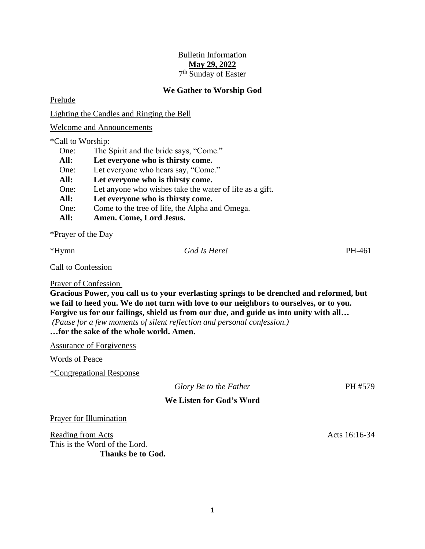# Bulletin Information **May 29, 2022** 7<sup>th</sup> Sunday of Easter

## **We Gather to Worship God**

Prelude

Lighting the Candles and Ringing the Bell

Welcome and Announcements

#### \*Call to Worship:

| One: | The Spirit and the bride says, "Come."                  |
|------|---------------------------------------------------------|
| All: | Let everyone who is thirsty come.                       |
| One: | Let everyone who hears say, "Come."                     |
| All: | Let everyone who is thirsty come.                       |
| One: | Let anyone who wishes take the water of life as a gift. |
| All: | Let everyone who is thirsty come.                       |
| One: | Come to the tree of life, the Alpha and Omega.          |
| All: | Amen. Come, Lord Jesus.                                 |

\*Prayer of the Day

# \*Hymn *God Is Here!* PH-461

Call to Confession

Prayer of Confession

**Gracious Power, you call us to your everlasting springs to be drenched and reformed, but we fail to heed you. We do not turn with love to our neighbors to ourselves, or to you. Forgive us for our failings, shield us from our due, and guide us into unity with all…**

*(Pause for a few moments of silent reflection and personal confession.)*

**…for the sake of the whole world. Amen.**

Assurance of Forgiveness

Words of Peace

\*Congregational Response

| Glory Be to the Father |  |
|------------------------|--|
|------------------------|--|

*Glory Be to the Father* PH #579

# **We Listen for God's Word**

Prayer for Illumination

Reading from Acts **Acts** 16:16-34 This is the Word of the Lord. **Thanks be to God.**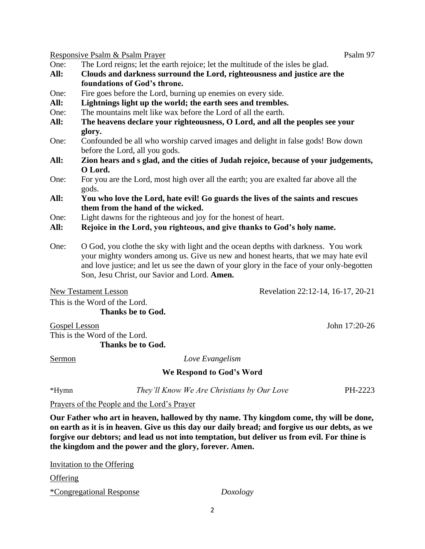Responsive Psalm & Psalm Prayer Psalm 97

- One: The Lord reigns; let the earth rejoice; let the multitude of the isles be glad.
- **All: Clouds and darkness surround the Lord, righteousness and justice are the foundations of God's throne.**
- One: Fire goes before the Lord, burning up enemies on every side.
- **All: Lightnings light up the world; the earth sees and trembles.**
- One: The mountains melt like wax before the Lord of all the earth.
- **All: The heavens declare your righteousness, O Lord, and all the peoples see your glory.**
- One: Confounded be all who worship carved images and delight in false gods! Bow down before the Lord, all you gods.
- **All: Zion hears and s glad, and the cities of Judah rejoice, because of your judgements, O Lord.**
- One: For you are the Lord, most high over all the earth; you are exalted far above all the gods.
- **All: You who love the Lord, hate evil! Go guards the lives of the saints and rescues them from the hand of the wicked.**
- One: Light dawns for the righteous and joy for the honest of heart.
- **All: Rejoice in the Lord, you righteous, and give thanks to God's holy name.**
- One: O God, you clothe the sky with light and the ocean depths with darkness. You work your mighty wonders among us. Give us new and honest hearts, that we may hate evil and love justice; and let us see the dawn of your glory in the face of your only-begotten Son, Jesu Christ, our Savior and Lord. **Amen.**

New Testament Lesson Revelation 22:12-14, 16-17, 20-21

This is the Word of the Lord. **Thanks be to God.**

This is the Word of the Lord.

Gospel Lesson John 17:20-26

**Thanks be to God.**

Sermon *Love Evangelism*

# **We Respond to God's Word**

\*Hymn *They'll Know We Are Christians by Our Love* PH-2223

Prayers of the People and the Lord's Prayer

**Our Father who art in heaven, hallowed by thy name. Thy kingdom come, thy will be done, on earth as it is in heaven. Give us this day our daily bread; and forgive us our debts, as we forgive our debtors; and lead us not into temptation, but deliver us from evil. For thine is the kingdom and the power and the glory, forever. Amen.**

| Doxology |
|----------|
|          |